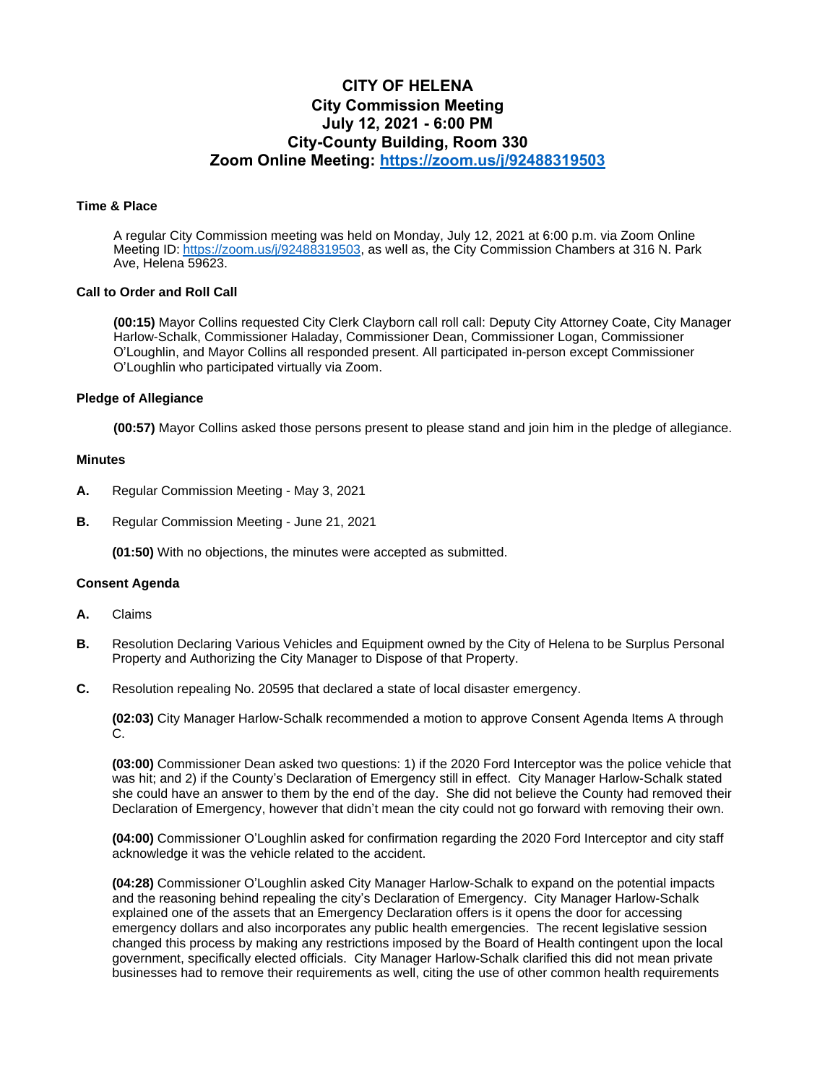# **CITY OF HELENA City Commission Meeting July 12, 2021 - 6:00 PM City-County Building, Room 330 Zoom Online Meeting:<https://zoom.us/j/92488319503>**

#### **Time & Place**

A regular City Commission meeting was held on Monday, July 12, 2021 at 6:00 p.m. via Zoom Online Meeting ID: [https://zoom.us/j/92488319503,](https://zoom.us/j/92488319503) as well as, the City Commission Chambers at 316 N. Park Ave, Helena 59623.

#### **Call to Order and Roll Call**

**(00:15)** Mayor Collins requested City Clerk Clayborn call roll call: Deputy City Attorney Coate, City Manager Harlow-Schalk, Commissioner Haladay, Commissioner Dean, Commissioner Logan, Commissioner O'Loughlin, and Mayor Collins all responded present. All participated in-person except Commissioner O'Loughlin who participated virtually via Zoom.

## **Pledge of Allegiance**

**(00:57)** Mayor Collins asked those persons present to please stand and join him in the pledge of allegiance.

### **Minutes**

- **A.** Regular Commission Meeting May 3, 2021
- **B.** Regular Commission Meeting June 21, 2021

**(01:50)** With no objections, the minutes were accepted as submitted.

#### **Consent Agenda**

- **A.** Claims
- **B.** Resolution Declaring Various Vehicles and Equipment owned by the City of Helena to be Surplus Personal Property and Authorizing the City Manager to Dispose of that Property.
- **C.** Resolution repealing No. 20595 that declared a state of local disaster emergency.

**(02:03)** City Manager Harlow-Schalk recommended a motion to approve Consent Agenda Items A through C.

**(03:00)** Commissioner Dean asked two questions: 1) if the 2020 Ford Interceptor was the police vehicle that was hit; and 2) if the County's Declaration of Emergency still in effect. City Manager Harlow-Schalk stated she could have an answer to them by the end of the day. She did not believe the County had removed their Declaration of Emergency, however that didn't mean the city could not go forward with removing their own.

**(04:00)** Commissioner O'Loughlin asked for confirmation regarding the 2020 Ford Interceptor and city staff acknowledge it was the vehicle related to the accident.

**(04:28)** Commissioner O'Loughlin asked City Manager Harlow-Schalk to expand on the potential impacts and the reasoning behind repealing the city's Declaration of Emergency. City Manager Harlow-Schalk explained one of the assets that an Emergency Declaration offers is it opens the door for accessing emergency dollars and also incorporates any public health emergencies. The recent legislative session changed this process by making any restrictions imposed by the Board of Health contingent upon the local government, specifically elected officials. City Manager Harlow-Schalk clarified this did not mean private businesses had to remove their requirements as well, citing the use of other common health requirements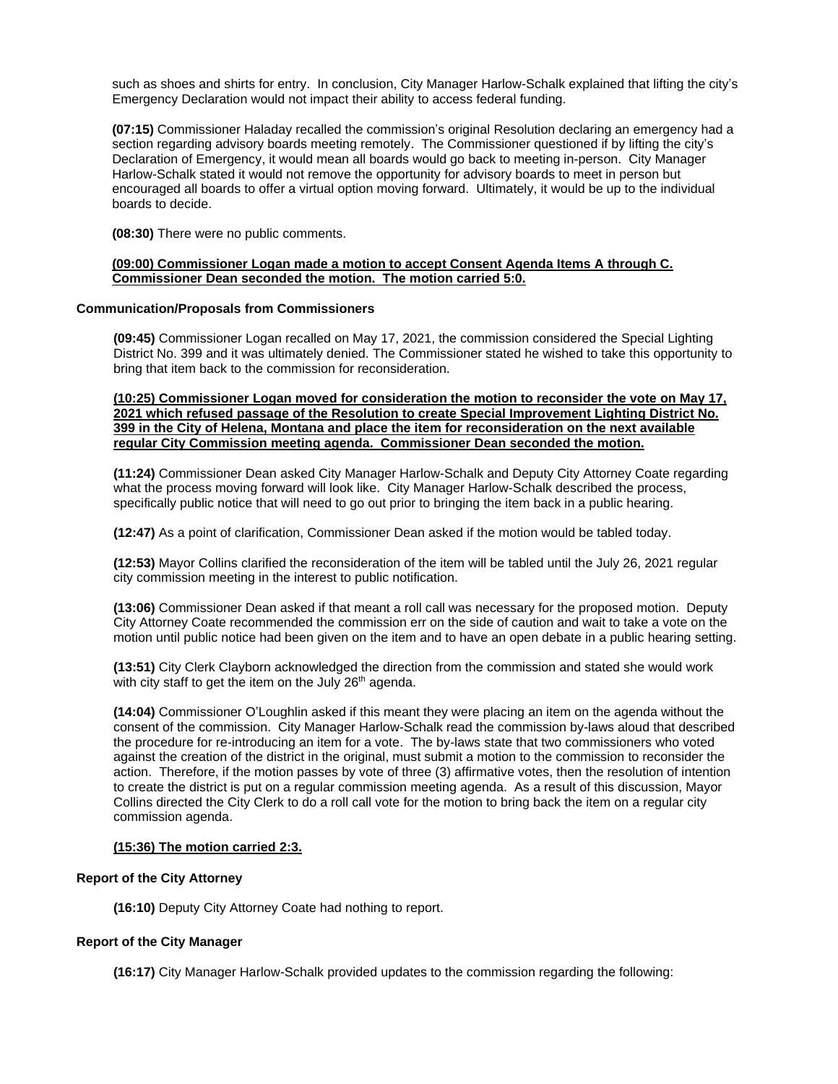such as shoes and shirts for entry. In conclusion, City Manager Harlow-Schalk explained that lifting the city's Emergency Declaration would not impact their ability to access federal funding.

**(07:15)** Commissioner Haladay recalled the commission's original Resolution declaring an emergency had a section regarding advisory boards meeting remotely. The Commissioner questioned if by lifting the city's Declaration of Emergency, it would mean all boards would go back to meeting in-person. City Manager Harlow-Schalk stated it would not remove the opportunity for advisory boards to meet in person but encouraged all boards to offer a virtual option moving forward. Ultimately, it would be up to the individual boards to decide.

**(08:30)** There were no public comments.

### **(09:00) Commissioner Logan made a motion to accept Consent Agenda Items A through C. Commissioner Dean seconded the motion. The motion carried 5:0.**

## **Communication/Proposals from Commissioners**

**(09:45)** Commissioner Logan recalled on May 17, 2021, the commission considered the Special Lighting District No. 399 and it was ultimately denied. The Commissioner stated he wished to take this opportunity to bring that item back to the commission for reconsideration.

**(10:25) Commissioner Logan moved for consideration the motion to reconsider the vote on May 17, 2021 which refused passage of the Resolution to create Special Improvement Lighting District No. 399 in the City of Helena, Montana and place the item for reconsideration on the next available regular City Commission meeting agenda. Commissioner Dean seconded the motion.** 

**(11:24)** Commissioner Dean asked City Manager Harlow-Schalk and Deputy City Attorney Coate regarding what the process moving forward will look like. City Manager Harlow-Schalk described the process, specifically public notice that will need to go out prior to bringing the item back in a public hearing.

**(12:47)** As a point of clarification, Commissioner Dean asked if the motion would be tabled today.

**(12:53)** Mayor Collins clarified the reconsideration of the item will be tabled until the July 26, 2021 regular city commission meeting in the interest to public notification.

**(13:06)** Commissioner Dean asked if that meant a roll call was necessary for the proposed motion. Deputy City Attorney Coate recommended the commission err on the side of caution and wait to take a vote on the motion until public notice had been given on the item and to have an open debate in a public hearing setting.

**(13:51)** City Clerk Clayborn acknowledged the direction from the commission and stated she would work with city staff to get the item on the July  $26<sup>th</sup>$  agenda.

**(14:04)** Commissioner O'Loughlin asked if this meant they were placing an item on the agenda without the consent of the commission. City Manager Harlow-Schalk read the commission by-laws aloud that described the procedure for re-introducing an item for a vote. The by-laws state that two commissioners who voted against the creation of the district in the original, must submit a motion to the commission to reconsider the action. Therefore, if the motion passes by vote of three (3) affirmative votes, then the resolution of intention to create the district is put on a regular commission meeting agenda. As a result of this discussion, Mayor Collins directed the City Clerk to do a roll call vote for the motion to bring back the item on a regular city commission agenda.

# **(15:36) The motion carried 2:3.**

# **Report of the City Attorney**

**(16:10)** Deputy City Attorney Coate had nothing to report.

# **Report of the City Manager**

**(16:17)** City Manager Harlow-Schalk provided updates to the commission regarding the following: